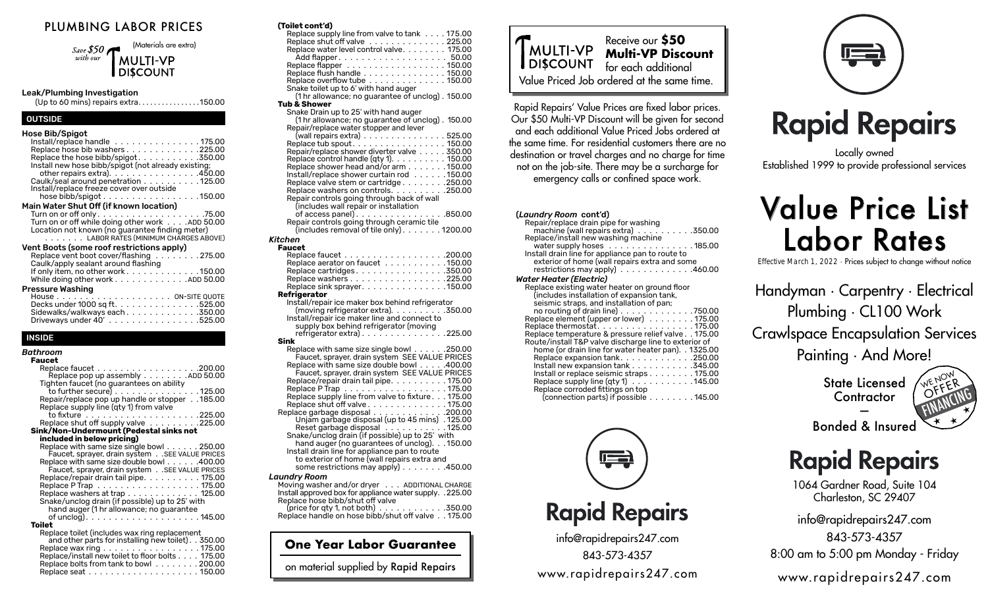#### PLUMBING LABOR PRICES

(Materials are extra) Save  $$50<sub>4</sub>$ with our **MULTI-VP DISCOUNT** 

#### Leak/Plumbing Investigation

(Up to 60 mins) repairs extra.  $\ldots$ . . . . . . . . . . . . 150.00

#### OUTSIDE

| <b>Hose Bib/Spigot</b><br>Install/replace handle 175.00<br>Replace hose bib washers 225.00<br>Replace the hose bibb/spigot350.00<br>Install new hose bibb/spigot (not already existing;<br>other repairs extra). $\ldots$ . 450.00<br>Caulk/seal around penetration 125.00<br>Install/replace freeze cover over outside<br>hose bibb/spigot $\ldots \ldots \ldots \ldots \ldots \ldots$ . 150.00 |
|--------------------------------------------------------------------------------------------------------------------------------------------------------------------------------------------------------------------------------------------------------------------------------------------------------------------------------------------------------------------------------------------------|
| Main Water Shut Off (if known location)                                                                                                                                                                                                                                                                                                                                                          |
| Turn on or off while doing other work ADD 50.00<br>Location not known (no guarantee finding meter)<br>. LABOR RATES (MINIMUM CHARGES ABOVE)                                                                                                                                                                                                                                                      |
| Vent Boots (some roof restrictions apply)<br>Replace vent boot cover/flashing 275.00<br>Caulk/apply sealant around flashing<br>If only item, no other work $\ldots \ldots \ldots \ldots \ldots$ . 150.00                                                                                                                                                                                         |
| While doing other work ADD 50.00                                                                                                                                                                                                                                                                                                                                                                 |
| Pressure Washing<br>Decks under 1000 sq ft. 525.00<br>Sidewalks/walkways each350.00<br>Driveways under 40'525.00                                                                                                                                                                                                                                                                                 |

#### **NSIDE**

| Bathroom                                                                                              |
|-------------------------------------------------------------------------------------------------------|
| <b>Faucet</b>                                                                                         |
| Replace pop up assembly ADD 50.00                                                                     |
| Tighten faucet (no guarantees on ability<br>to further secure) $\dots\dots\dots\dots\dots$ . 125.00   |
| Repair/replace pop up handle or stopper 185.00<br>Replace supply line (qty 1) from valve              |
| Replace shut off supply valve 225.00                                                                  |
| Sink/Non-Undermount (Pedestal sinks not                                                               |
| included in below pricing)                                                                            |
| Replace with same size single bowl 250.00<br>Faucet, sprayer, drain system SEE VALUE PRICES           |
| Replace with same size double bowl 400.00<br>Faucet, sprayer, drain system SEE VALUE PRICES           |
| Replace/repair drain tail pipe175.00<br>Replace P Trap 175.00                                         |
| Replace washers at trap 125.00<br>Snake/unclog drain (if possible) up to 25' with                     |
| hand auger (1 hr allowance; no guarantee<br>of unclog). $\dots$ . 145.00                              |
| <b>Toilet</b>                                                                                         |
| Replace toilet (includes wax ring replacement<br>and other parts for installing new toilet). . 350.00 |
| Replace wax ring 175.00<br>Replace/install new toilet to floor bolts 175.00                           |
| Replace bolts from tank to bowl 200.00                                                                |

| (Toilet cont'd)                                         |
|---------------------------------------------------------|
| Replace supply line from valve to tank 175.00           |
| Replace shut off valve 225.00                           |
| Replace water level control valve. 175.00               |
|                                                         |
| Replace flapper 150.00                                  |
| Replace flush handle 150.00                             |
| Replace overflow tube .............150.00               |
| Snake toilet up to 6' with hand auger                   |
| (1 hr allowance; no quarantee of unclog). 150.00        |
| Tub & Shower                                            |
| Snake Drain up to 25' with hand auger                   |
| (1 hr allowance; no guarantee of unclog). 150.00        |
| Repair/replace water stopper and lever                  |
| (wall repairs extra) 525.00                             |
| Replace tub spout. 150.00                               |
| Repair/replace shower diverter valve 350.00             |
| Replace control handle (qty 1). 150.00                  |
| Replace shower head and/or arm 150.00                   |
| Install/replace shower curtain rod 150.00               |
| Replace valve stem or cartridge250.00                   |
| Replace washers on controls. $\dots \dots \dots 250.00$ |
| Repair controls going through back of wall              |
| (includes wall repair or installation                   |
| of access panel). $\ldots$ . 850.00                     |
| Repair controls going through ceramic tile              |
| $(includes$ removal of tile only $). 1200.00$           |

#### *Kitchen*

| <b>Faucet</b>                                                   |
|-----------------------------------------------------------------|
|                                                                 |
| Replace aerator on faucet 150.00                                |
| Replace cartridges 350.00                                       |
|                                                                 |
| Replace washers 225.00                                          |
| Replace sink sprayer150.00                                      |
| Refrigerator                                                    |
| Install/repair ice maker box behind refrigerator                |
| (moving refrigerator extra). 350.00                             |
| Install/repair ice maker line and connect to                    |
| supply box behind refrigerator (moving                          |
| refrigerator extra) $\ldots \ldots \ldots \ldots \ldots$ 225.00 |
| Sink                                                            |
|                                                                 |
| Replace with same size single bowl 250.00                       |
| Faucet, sprayer, drain system SEE VALUE PRICES                  |
| Replace with same size double bowl 400.00                       |
| Faucet, sprayer, drain system SEE VALUE PRICES                  |
| Replace/repair drain tail pipe. 175.00                          |
| Replace P Trap 175.00                                           |
| Replace supply line from valve to fixture. 175.00               |
| Replace shut off valve 175.00                                   |
|                                                                 |
| Replace garbage disposal 200.00                                 |

Unjam garbage disposal (up to 45 mins) 125.00 Reset garbage disposal  $\,\ldots\,\ldots\,\ldots\,\ldots\,$ 125.00 Snake/unclog drain (if possible) up to 25' with hand auger (no guarantees of unclog).  $\dots$  150.00 Install drain line for appliance pan to route to exterior of home (wall repairs extra and some restrictions may  $apply$ ........450.00

#### *Laundry Room*

| Moving washer and/or dryer ADDITIONAL CHARGE                     |  |
|------------------------------------------------------------------|--|
| Install approved box for appliance water supply. . 225.00        |  |
| Replace hose bibb/shut off valve                                 |  |
| (price for qty 1, not both) $\ldots \ldots \ldots \ldots 350.00$ |  |
| Replace handle on hose bibb/shut off valve 175.00                |  |

**One Year Labor Guarantee**

on material supplied by Rapid Repairs



Rapid Repairs' Value Prices are fixed labor prices. Our \$50 Multi-VP Discount will be given for second and each additional Value Priced Jobs ordered at the same time. For residential customers there are no destination or travel charges and no charge for time not on the job-site. There may be a surcharge for emergency calls or confined space work.

| ( <i>Laundry Room c</i> ont'd)                                                                                                                  |
|-------------------------------------------------------------------------------------------------------------------------------------------------|
| Repair/replace drain pipe for washing<br>machine (wall repairs extra) $\ldots$ 350.00                                                           |
| Replace/install new washing machine                                                                                                             |
| water supply hoses $\dots\dots\dots\dots\dots$ . 185.00                                                                                         |
| Install drain line for appliance pan to route to                                                                                                |
| exterior of home (wall repairs extra and some<br>restrictions may apply $\, \ldots \, \ldots \, \ldots \, \ldots \, . \, . \, . \, . \, 460.00$ |
| Water Heater (Electric)                                                                                                                         |
| Replace existing water heater on ground floor                                                                                                   |
| (includes installation of expansion tank,                                                                                                       |
| seismic straps, and installation of pan;                                                                                                        |
| no routing of drain line) 750.00<br>Replace element (upper or lower) 175.00                                                                     |
| Replace thermostat. 175.00                                                                                                                      |
| Replace temperature & pressure relief valve 175.00                                                                                              |
| Route/install T&P valve discharge line to exterior of                                                                                           |
| home (or drain line for water heater pan). . 1325.00                                                                                            |
| Replace expansion tank. 250.00<br>Install new expansion tank 345.00                                                                             |
| Install or replace seismic straps 175.00                                                                                                        |
| Replace supply line (qty 1) 145.00                                                                                                              |
| Replace corroded fittings on top                                                                                                                |
| (connection parts) if possible 145.00                                                                                                           |



### **Rapid Repairs**

info@rapidrepairs247.com 843-573-4357 www.rapidrepairs247.com



# **Rapid Repairs**

Locally owned Established 1999 to provide professional services

# Value Price List Labor Rates

Effective March 1, 2022 · Prices subject to change without notice

Handyman · Carpentry · Electrical Plumbing · CL100 Work Crawlspace Encapsulation Services Painting · And More!

> State Licensed **Contractor** —



Bonded & Insured

## **Rapid Repairs**

1064 Gardner Road, Suite 104 Charleston, SC 29407

info@rapidrepairs247.com

843-573-4357 8:00 am to 5:00 pm Monday - Friday

www.rapidrepairs247.com